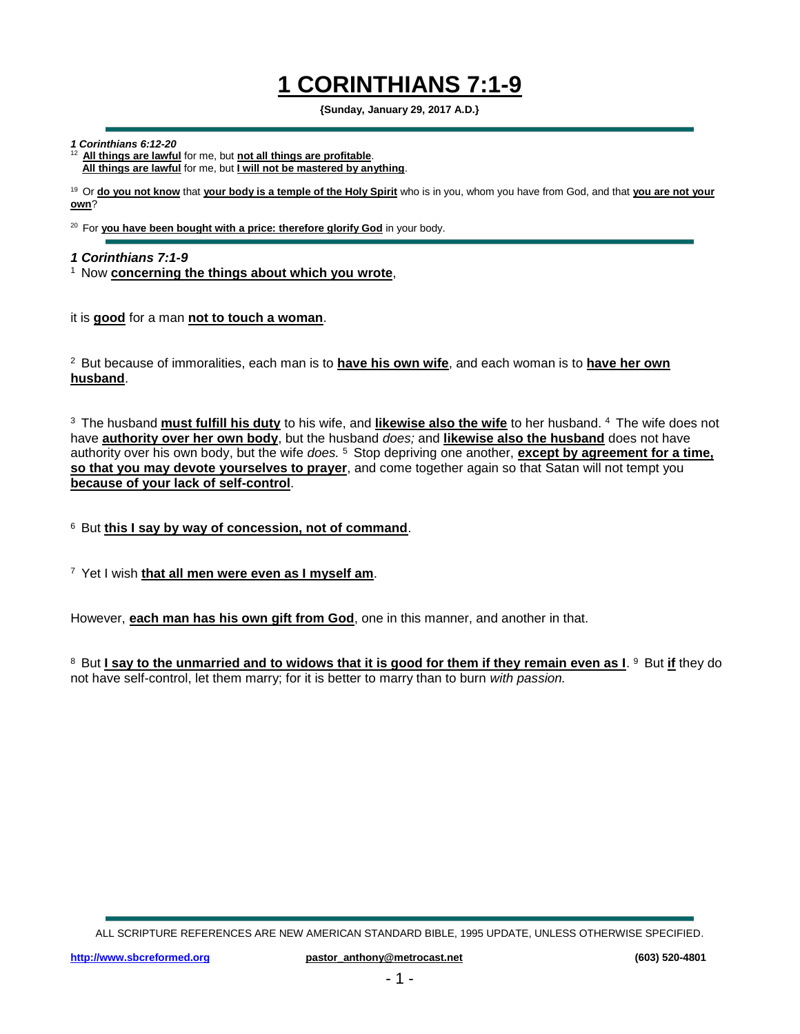## **1 CORINTHIANS 7:1-9**

**{Sunday, January 29, 2017 A.D.}**

*1 Corinthians 6:12-20*

<sup>12</sup>**All things are lawful** for me, but **not all things are profitable**. **All things are lawful** for me, but **I will not be mastered by anything**.

<sup>19</sup> Or **do you not know** that **your body is a temple of the Holy Spirit** who is in you, whom you have from God, and that **you are not your own**?

<sup>20</sup> For you have been bought with a price: therefore glorify God in your body.

*1 Corinthians 7:1-9*

<sup>1</sup> Now concerning the things about which you wrote,

it is **good** for a man **not to touch a woman**.

<sup>2</sup>But because of immoralities, each man is to **have his own wife**, and each woman is to **have her own husband**.

<sup>3</sup> The husband <u>must fulfill his duty</u> to his wife, and <u>likewise also the wife</u> to her husband. <sup>4</sup> The wife does not have **authority over her own body**, but the husband *does;* and **likewise also the husband** does not have authority over his own body, but the wife *does.*<sup>5</sup> Stop depriving one another, **except by agreement for a time, so that you may devote yourselves to prayer**, and come together again so that Satan will not tempt you **because of your lack of self-control**.

<sup>6</sup> But this I say by way of concession, not of command.

<sup>7</sup>Yet I wish **that all men were even as I myself am**.

However, **each man has his own gift from God**, one in this manner, and another in that.

 $^8$  But <u>I say to the unmarried and to widows that it is good for them if they remain even as I.  $^9$  But <u>if</u> they do</u> not have self-control, let them marry; for it is better to marry than to burn *with passion.*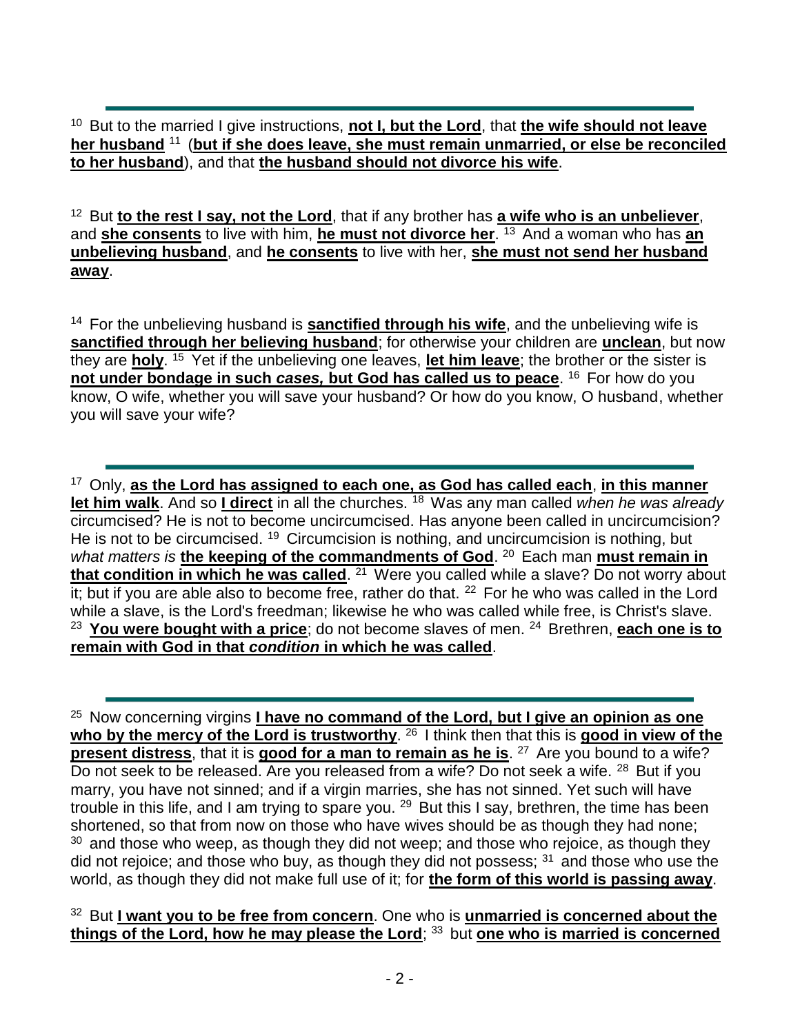<sup>10</sup> But to the married I give instructions, **not I, but the Lord**, that **the wife should not leave** her husband<sup>11</sup> (but if she does leave, she must remain unmarried, or else be reconciled **to her husband**), and that **the husband should not divorce his wife**.

<sup>12</sup> But to the rest I say, not the Lord, that if any brother has a wife who is an unbeliever, and **she consents** to live with him, *he must not divorce her.* <sup>13</sup> And a woman who has *an* **unbelieving husband**, and **he consents** to live with her, **she must not send her husband away**.

<sup>14</sup> For the unbelieving husband is **sanctified through his wife**, and the unbelieving wife is **sanctified through her believing husband**; for otherwise your children are **unclean**, but now they are **holy**. <sup>15</sup> Yet if the unbelieving one leaves, let him leave; the brother or the sister is **not under bondage in such** *cases***, but God has called us to peace**. <sup>16</sup> For how do you know, O wife, whether you will save your husband? Or how do you know, O husband, whether you will save your wife?

<sup>17</sup>Only, **as the Lord has assigned to each one, as God has called each**, **in this manner let him walk**. And so **I direct** in all the churches. <sup>18</sup> Was any man called *when he was already* circumcised? He is not to become uncircumcised. Has anyone been called in uncircumcision? He is not to be circumcised.  $19$  Circumcision is nothing, and uncircumcision is nothing, but what matters is the keeping of the commandments of God.<sup>20</sup> Each man must remain in **that condition in which he was called**. <sup>21</sup> Were you called while a slave? Do not worry about it; but if you are able also to become free, rather do that. <sup>22</sup> For he who was called in the Lord while a slave, is the Lord's freedman; likewise he who was called while free, is Christ's slave. <sup>23</sup> You were bought with a price; do not become slaves of men. <sup>24</sup> Brethren, each one is to **remain with God in that** *condition* **in which he was called**.

<sup>25</sup> Now concerning virgins *I have no command of the Lord, but I give an opinion as one* who by the mercy of the Lord is trustworthy. <sup>26</sup> I think then that this is good in view of the **present distress**, that it is **good for a man to remain as he is**. <sup>27</sup> Are you bound to a wife? Do not seek to be released. Are you released from a wife? Do not seek a wife. <sup>28</sup> But if you marry, you have not sinned; and if a virgin marries, she has not sinned. Yet such will have trouble in this life, and I am trying to spare you.  $29$  But this I say, brethren, the time has been shortened, so that from now on those who have wives should be as though they had none;  $30$  and those who weep, as though they did not weep; and those who rejoice, as though they did not rejoice; and those who buy, as though they did not possess;  $31$  and those who use the world, as though they did not make full use of it; for **the form of this world is passing away**.

<sup>32</sup> But I want you to be free from concern. One who is unmarried is concerned about the **things of the Lord, how he may please the Lord; 33 but one who is married is concerned**